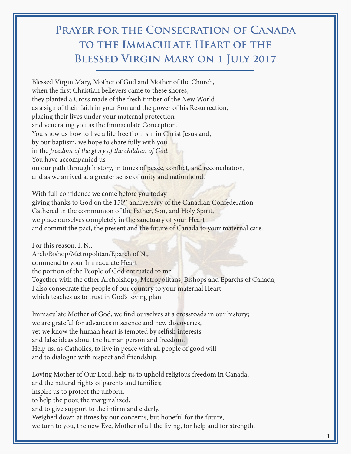## **Prayer for the Consecration of Canada to the Immaculate Heart of the Blessed Virgin Mary on 1 July 2017**

Blessed Virgin Mary, Mother of God and Mother of the Church, when the first Christian believers came to these shores, they planted a Cross made of the fresh timber of the New World as a sign of their faith in your Son and the power of his Resurrection, placing their lives under your maternal protection and venerating you as the Immaculate Conception. You show us how to live a life free from sin in Christ Jesus and, by our baptism, we hope to share fully with you in the *freedom of the glory of the children of God.* You have accompanied us on our path through history, in times of peace, conflict, and reconciliation, and as we arrived at a greater sense of unity and nationhood.

With full confidence we come before you today giving thanks to God on the 150<sup>th</sup> anniversary of the Canadian Confederation. Gathered in the communion of the Father, Son, and Holy Spirit, we place ourselves completely in the sanctuary of your Heart and commit the past, the present and the future of Canada to your maternal care.

For this reason, I, N., Arch/Bishop/Metropolitan/Eparch of N., commend to your Immaculate Heart the portion of the People of God entrusted to me. Together with the other Archbishops, Metropolitans, Bishops and Eparchs of Canada, I also consecrate the people of our country to your maternal Heart which teaches us to trust in God's loving plan.

Immaculate Mother of God, we find ourselves at a crossroads in our history; we are grateful for advances in science and new discoveries, yet we know the human heart is tempted by selfish interests and false ideas about the human person and freedom. Help us, as Catholics, to live in peace with all people of good will and to dialogue with respect and friendship.

Loving Mother of Our Lord, help us to uphold religious freedom in Canada, and the natural rights of parents and families; inspire us to protect the unborn, to help the poor, the marginalized, and to give support to the infirm and elderly. Weighed down at times by our concerns, but hopeful for the future, we turn to you, the new Eve, Mother of all the living, for help and for strength.

1